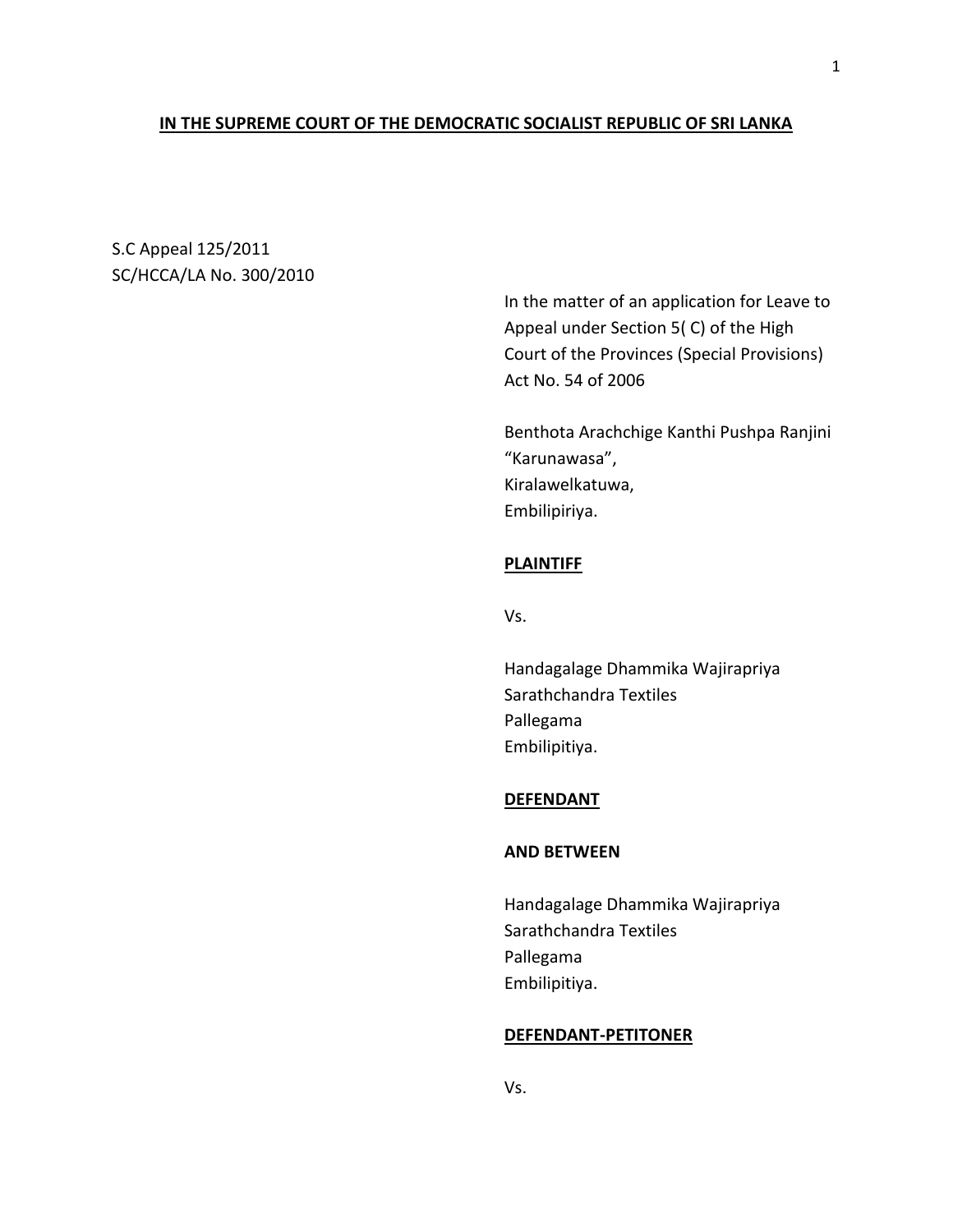## **IN THE SUPREME COURT OF THE DEMOCRATIC SOCIALIST REPUBLIC OF SRI LANKA**

S.C Appeal 125/2011 SC/HCCA/LA No. 300/2010

> In the matter of an application for Leave to Appeal under Section 5( C) of the High Court of the Provinces (Special Provisions) Act No. 54 of 2006

> Benthota Arachchige Kanthi Pushpa Ranjini "Karunawasa", Kiralawelkatuwa, Embilipiriya.

## **PLAINTIFF**

Vs.

Handagalage Dhammika Wajirapriya Sarathchandra Textiles Pallegama Embilipitiya.

#### **DEFENDANT**

## **AND BETWEEN**

Handagalage Dhammika Wajirapriya Sarathchandra Textiles Pallegama Embilipitiya.

## **DEFENDANT-PETITONER**

Vs.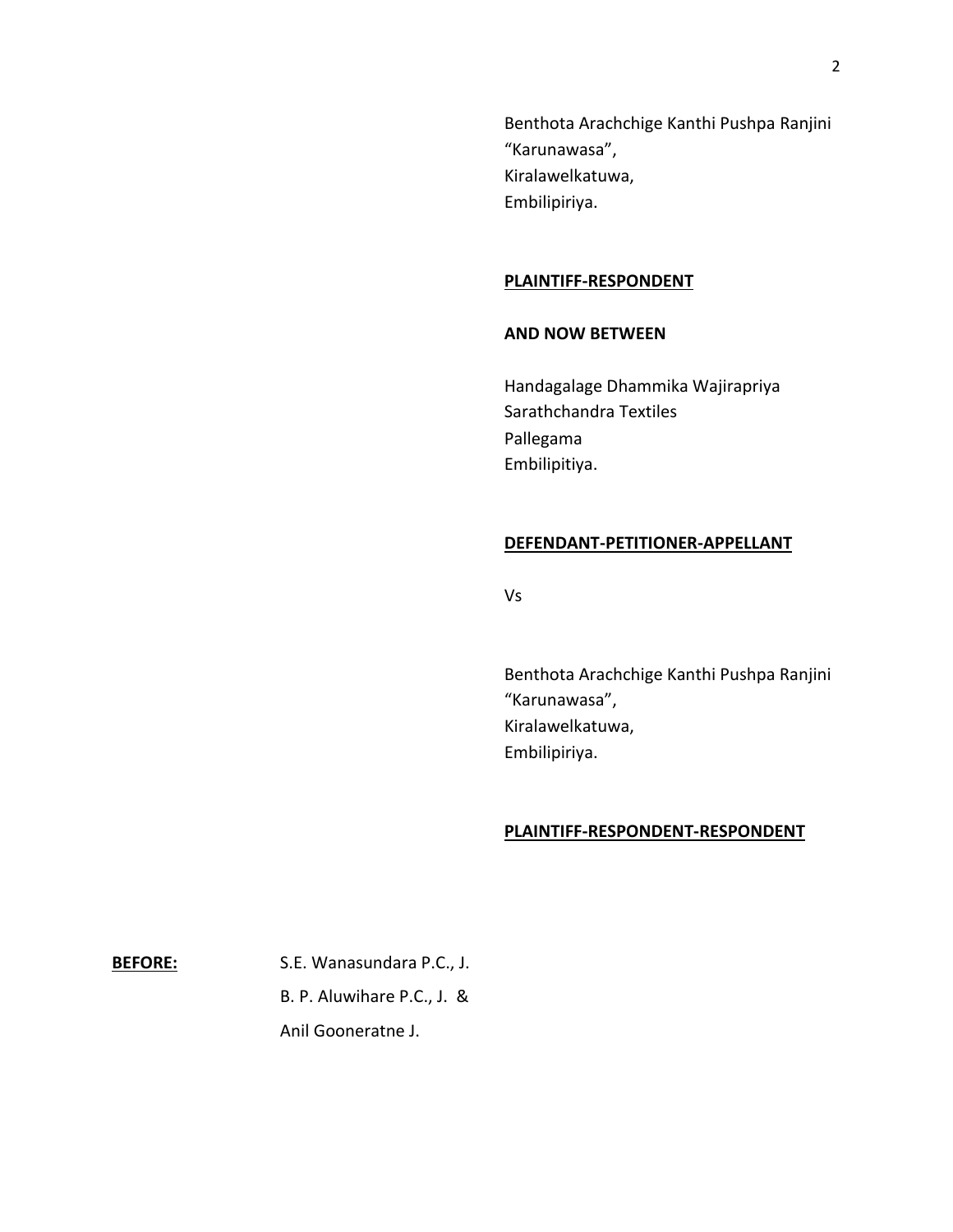Benthota Arachchige Kanthi Pushpa Ranjini "Karunawasa", Kiralawelkatuwa, Embilipiriya.

## **PLAINTIFF-RESPONDENT**

### **AND NOW BETWEEN**

Handagalage Dhammika Wajirapriya Sarathchandra Textiles Pallegama Embilipitiya.

#### **DEFENDANT-PETITIONER-APPELLANT**

Vs

Benthota Arachchige Kanthi Pushpa Ranjini "Karunawasa", Kiralawelkatuwa, Embilipiriya.

### **PLAINTIFF-RESPONDENT-RESPONDENT**

**BEFORE:** S.E. Wanasundara P.C., J.

B. P. Aluwihare P.C., J. &

Anil Gooneratne J.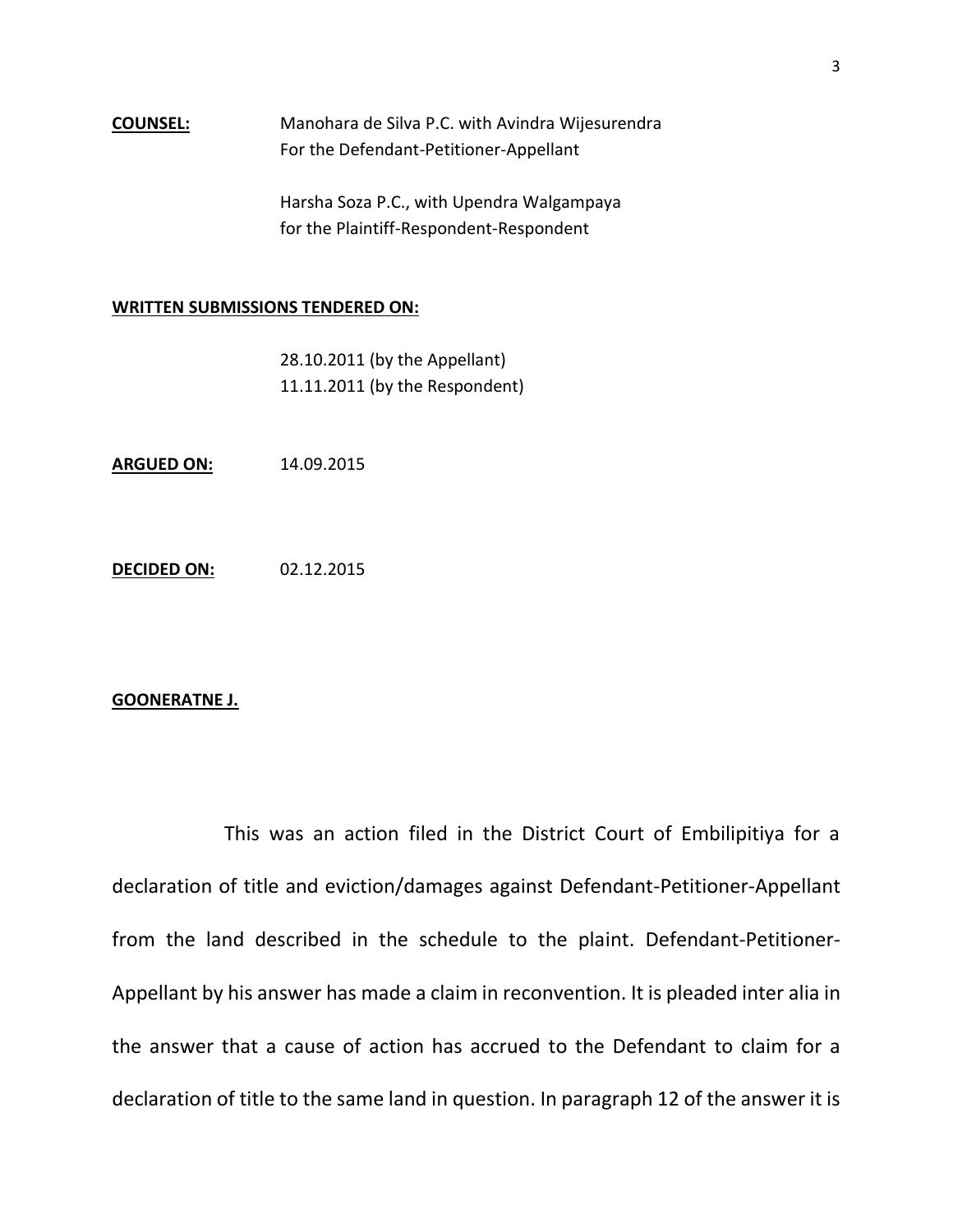## **COUNSEL:** Manohara de Silva P.C. with Avindra Wijesurendra For the Defendant-Petitioner-Appellant

Harsha Soza P.C., with Upendra Walgampaya for the Plaintiff-Respondent-Respondent

## **WRITTEN SUBMISSIONS TENDERED ON:**

| 28.10.2011 (by the Appellant)  |
|--------------------------------|
| 11.11.2011 (by the Respondent) |

**ARGUED ON:** 14.09.2015

**DECIDED ON:** 02.12.2015

#### **GOONERATNE J.**

This was an action filed in the District Court of Embilipitiya for a declaration of title and eviction/damages against Defendant-Petitioner-Appellant from the land described in the schedule to the plaint. Defendant-Petitioner-Appellant by his answer has made a claim in reconvention. It is pleaded inter alia in the answer that a cause of action has accrued to the Defendant to claim for a declaration of title to the same land in question. In paragraph 12 of the answer it is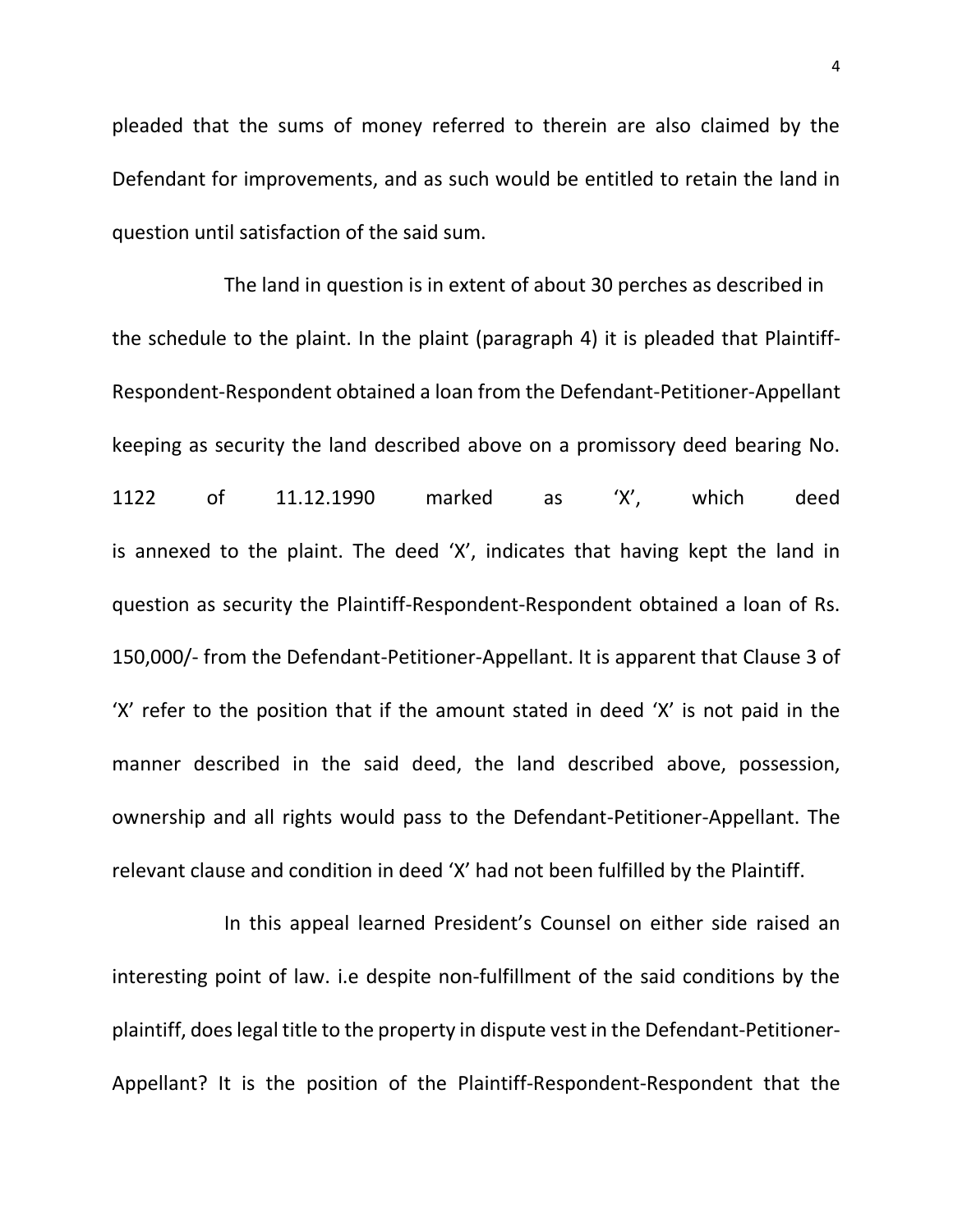pleaded that the sums of money referred to therein are also claimed by the Defendant for improvements, and as such would be entitled to retain the land in question until satisfaction of the said sum.

The land in question is in extent of about 30 perches as described in the schedule to the plaint. In the plaint (paragraph 4) it is pleaded that Plaintiff-Respondent-Respondent obtained a loan from the Defendant-Petitioner-Appellant keeping as security the land described above on a promissory deed bearing No. 1122 of 11.12.1990 marked as 'X', which deed is annexed to the plaint. The deed 'X', indicates that having kept the land in question as security the Plaintiff-Respondent-Respondent obtained a loan of Rs. 150,000/- from the Defendant-Petitioner-Appellant. It is apparent that Clause 3 of 'X' refer to the position that if the amount stated in deed 'X' is not paid in the manner described in the said deed, the land described above, possession, ownership and all rights would pass to the Defendant-Petitioner-Appellant. The relevant clause and condition in deed 'X' had not been fulfilled by the Plaintiff.

In this appeal learned President's Counsel on either side raised an interesting point of law. i.e despite non-fulfillment of the said conditions by the plaintiff, does legal title to the property in dispute vest in the Defendant-Petitioner-Appellant? It is the position of the Plaintiff-Respondent-Respondent that the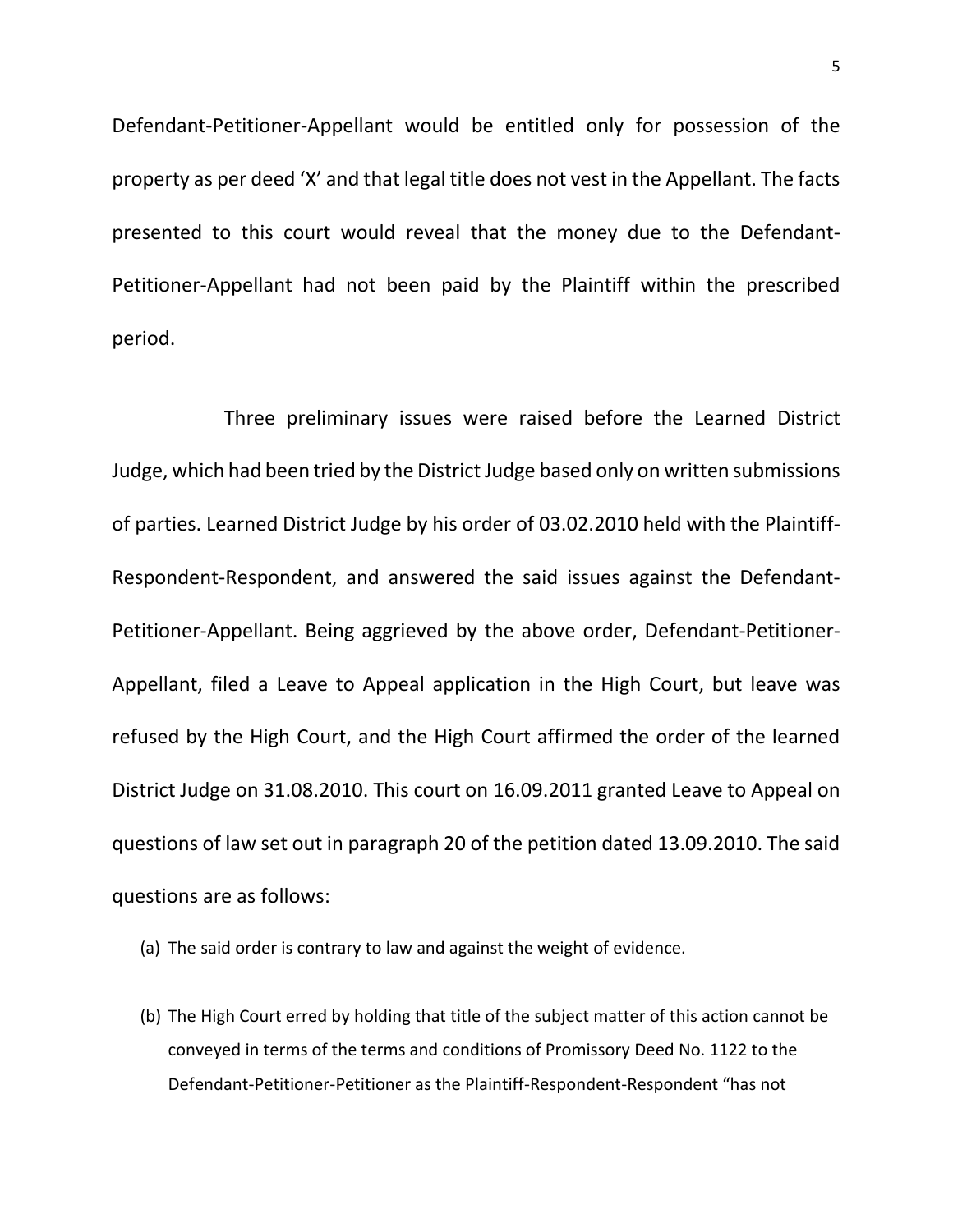Defendant-Petitioner-Appellant would be entitled only for possession of the property as per deed 'X' and that legal title does not vest in the Appellant. The facts presented to this court would reveal that the money due to the Defendant-Petitioner-Appellant had not been paid by the Plaintiff within the prescribed period.

Three preliminary issues were raised before the Learned District Judge, which had been tried by the District Judge based only on written submissions of parties. Learned District Judge by his order of 03.02.2010 held with the Plaintiff-Respondent-Respondent, and answered the said issues against the Defendant-Petitioner-Appellant. Being aggrieved by the above order, Defendant-Petitioner-Appellant, filed a Leave to Appeal application in the High Court, but leave was refused by the High Court, and the High Court affirmed the order of the learned District Judge on 31.08.2010. This court on 16.09.2011 granted Leave to Appeal on questions of law set out in paragraph 20 of the petition dated 13.09.2010. The said questions are as follows:

- (a) The said order is contrary to law and against the weight of evidence.
- (b) The High Court erred by holding that title of the subject matter of this action cannot be conveyed in terms of the terms and conditions of Promissory Deed No. 1122 to the Defendant-Petitioner-Petitioner as the Plaintiff-Respondent-Respondent "has not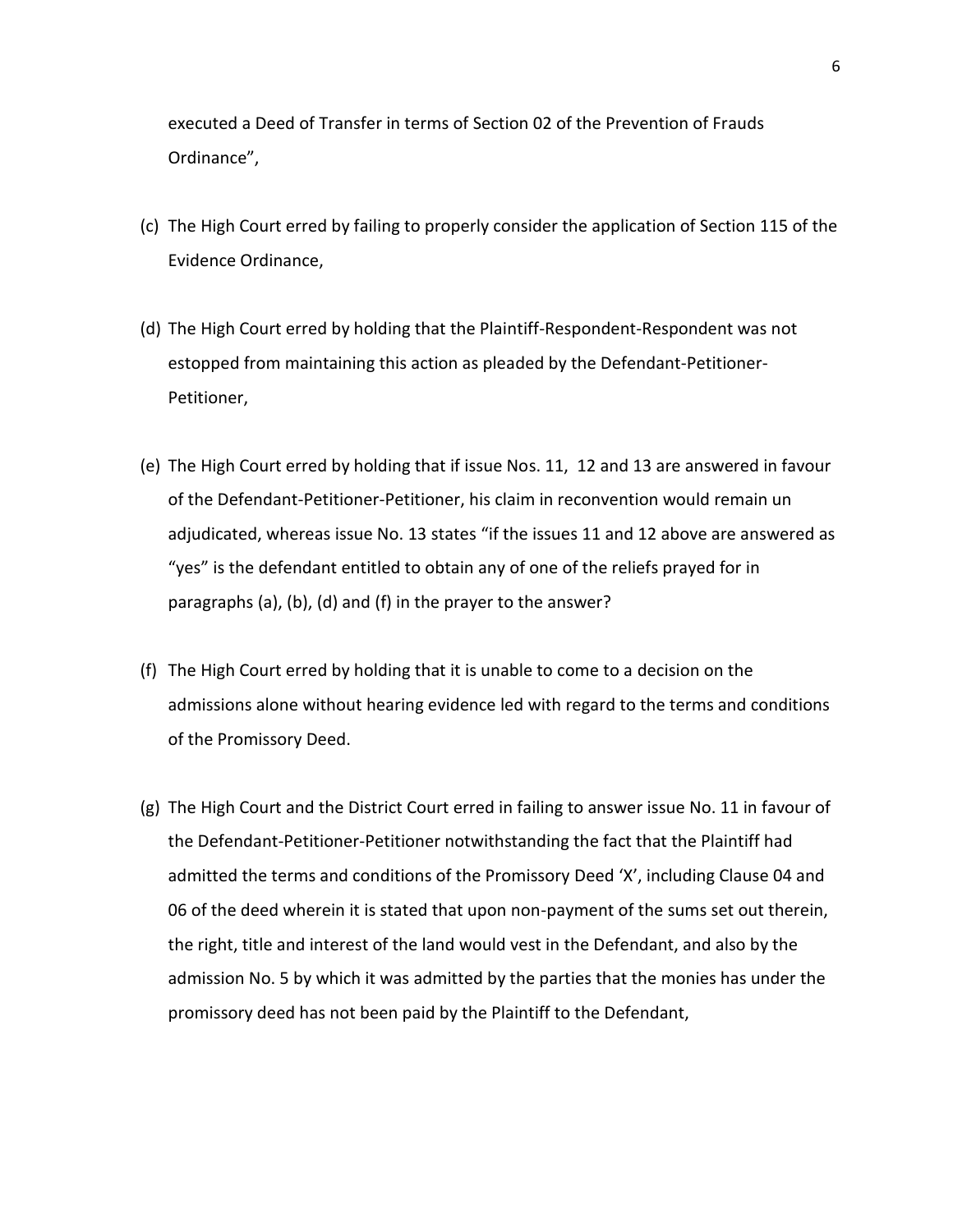executed a Deed of Transfer in terms of Section 02 of the Prevention of Frauds Ordinance",

- (c) The High Court erred by failing to properly consider the application of Section 115 of the Evidence Ordinance,
- (d) The High Court erred by holding that the Plaintiff-Respondent-Respondent was not estopped from maintaining this action as pleaded by the Defendant-Petitioner-Petitioner,
- (e) The High Court erred by holding that if issue Nos. 11, 12 and 13 are answered in favour of the Defendant-Petitioner-Petitioner, his claim in reconvention would remain un adjudicated, whereas issue No. 13 states "if the issues 11 and 12 above are answered as "yes" is the defendant entitled to obtain any of one of the reliefs prayed for in paragraphs (a), (b), (d) and (f) in the prayer to the answer?
- (f) The High Court erred by holding that it is unable to come to a decision on the admissions alone without hearing evidence led with regard to the terms and conditions of the Promissory Deed.
- (g) The High Court and the District Court erred in failing to answer issue No. 11 in favour of the Defendant-Petitioner-Petitioner notwithstanding the fact that the Plaintiff had admitted the terms and conditions of the Promissory Deed 'X', including Clause 04 and 06 of the deed wherein it is stated that upon non-payment of the sums set out therein, the right, title and interest of the land would vest in the Defendant, and also by the admission No. 5 by which it was admitted by the parties that the monies has under the promissory deed has not been paid by the Plaintiff to the Defendant,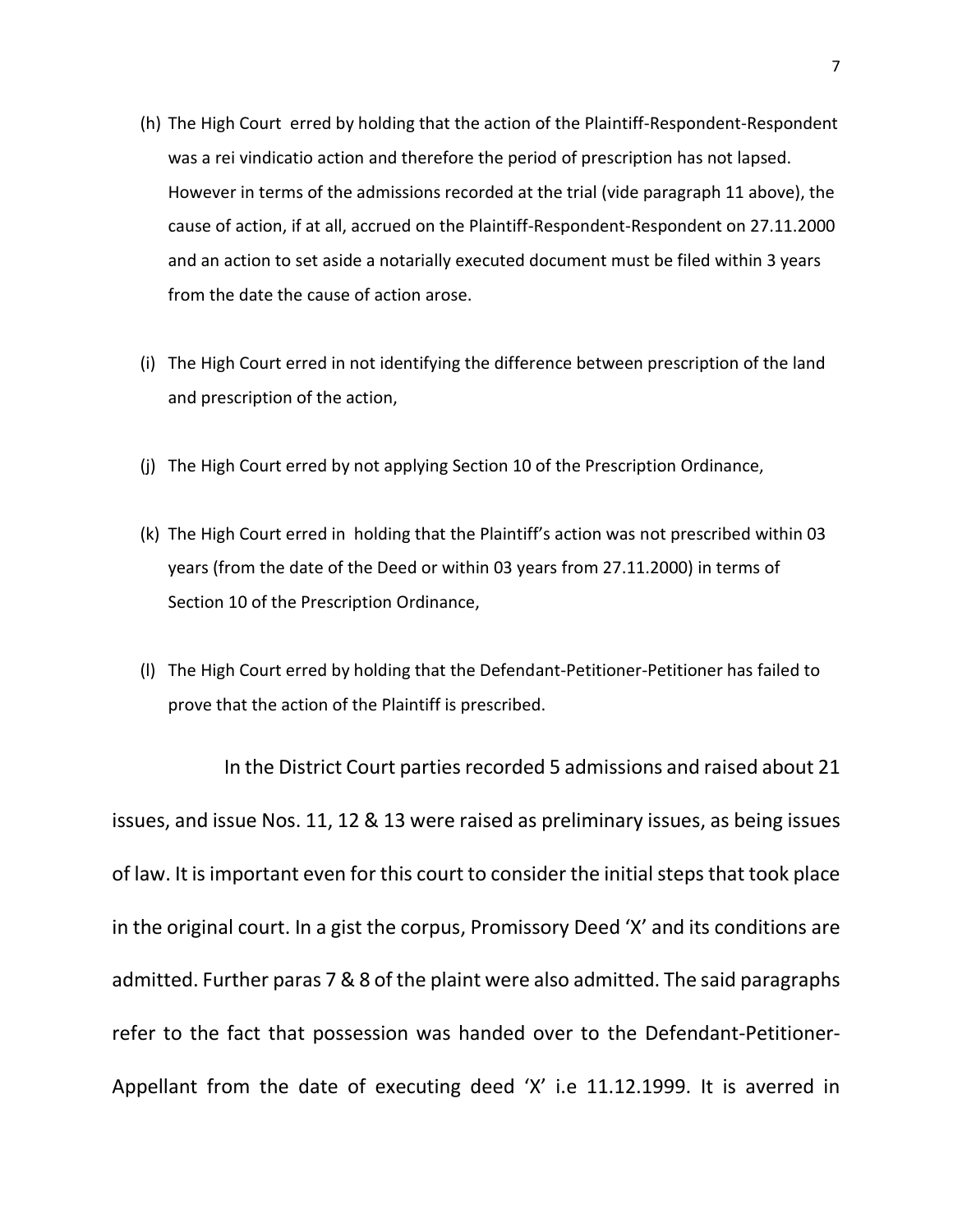- (h) The High Court erred by holding that the action of the Plaintiff-Respondent-Respondent was a rei vindicatio action and therefore the period of prescription has not lapsed. However in terms of the admissions recorded at the trial (vide paragraph 11 above), the cause of action, if at all, accrued on the Plaintiff-Respondent-Respondent on 27.11.2000 and an action to set aside a notarially executed document must be filed within 3 years from the date the cause of action arose.
- (i) The High Court erred in not identifying the difference between prescription of the land and prescription of the action,
- (j) The High Court erred by not applying Section 10 of the Prescription Ordinance,
- (k) The High Court erred in holding that the Plaintiff's action was not prescribed within 03 years (from the date of the Deed or within 03 years from 27.11.2000) in terms of Section 10 of the Prescription Ordinance,
- (l) The High Court erred by holding that the Defendant-Petitioner-Petitioner has failed to prove that the action of the Plaintiff is prescribed.

In the District Court parties recorded 5 admissions and raised about 21 issues, and issue Nos. 11, 12 & 13 were raised as preliminary issues, as being issues of law. It is important even for this court to consider the initial steps that took place in the original court. In a gist the corpus, Promissory Deed 'X' and its conditions are admitted. Further paras 7 & 8 of the plaint were also admitted. The said paragraphs refer to the fact that possession was handed over to the Defendant-Petitioner-Appellant from the date of executing deed 'X' i.e 11.12.1999. It is averred in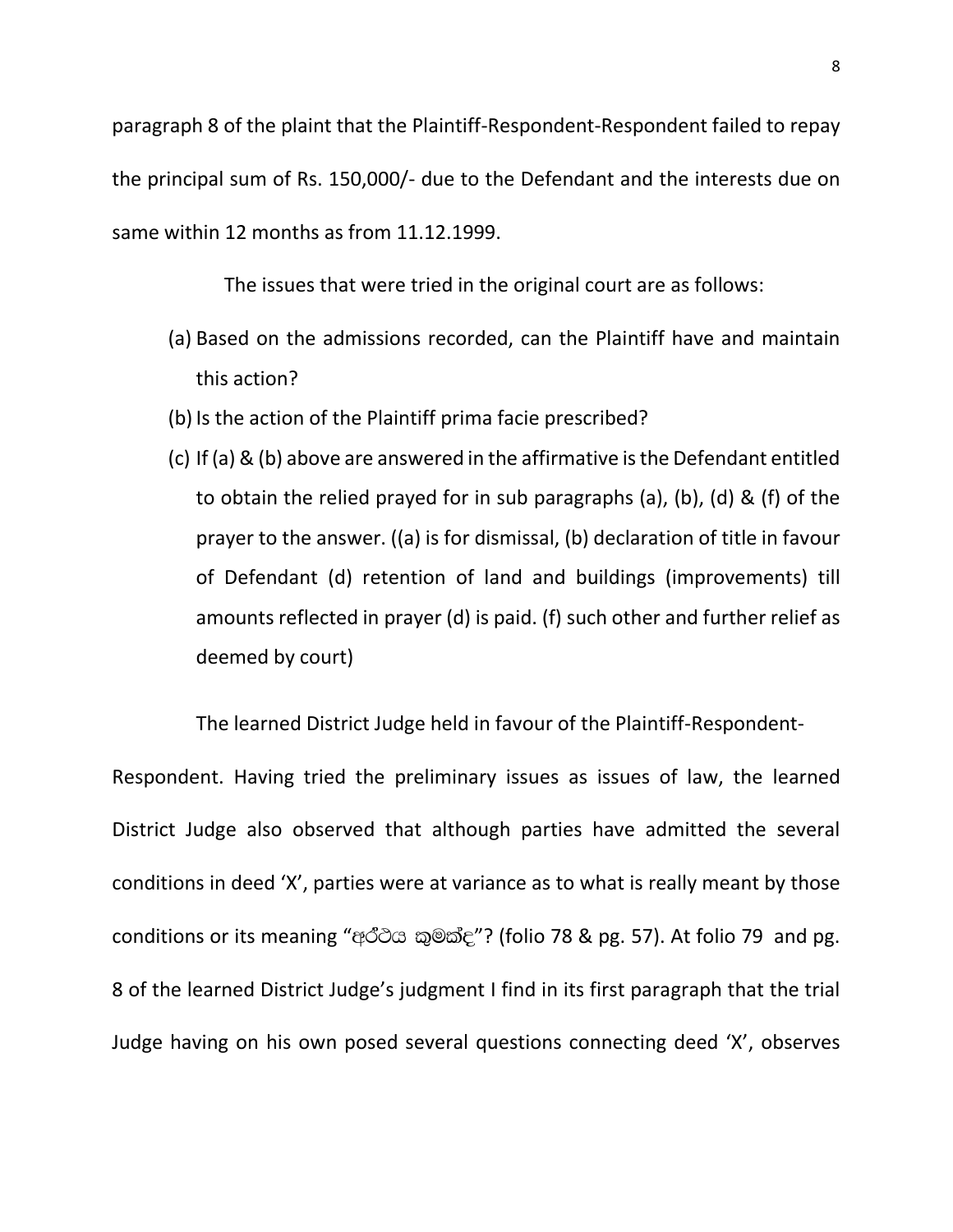paragraph 8 of the plaint that the Plaintiff-Respondent-Respondent failed to repay the principal sum of Rs. 150,000/- due to the Defendant and the interests due on same within 12 months as from 11.12.1999.

The issues that were tried in the original court are as follows:

- (a) Based on the admissions recorded, can the Plaintiff have and maintain this action?
- (b) Is the action of the Plaintiff prima facie prescribed?
- (c) If (a) & (b) above are answered in the affirmative is the Defendant entitled to obtain the relied prayed for in sub paragraphs (a), (b), (d) & (f) of the prayer to the answer. ((a) is for dismissal, (b) declaration of title in favour of Defendant (d) retention of land and buildings (improvements) till amounts reflected in prayer (d) is paid. (f) such other and further relief as deemed by court)

The learned District Judge held in favour of the Plaintiff-Respondent-

Respondent. Having tried the preliminary issues as issues of law, the learned District Judge also observed that although parties have admitted the several conditions in deed 'X', parties were at variance as to what is really meant by those conditions or its meaning "අර්ථය කුමක්ද"? (folio 78 & pg. 57). At folio 79 and pg. 8 of the learned District Judge's judgment I find in its first paragraph that the trial Judge having on his own posed several questions connecting deed 'X', observes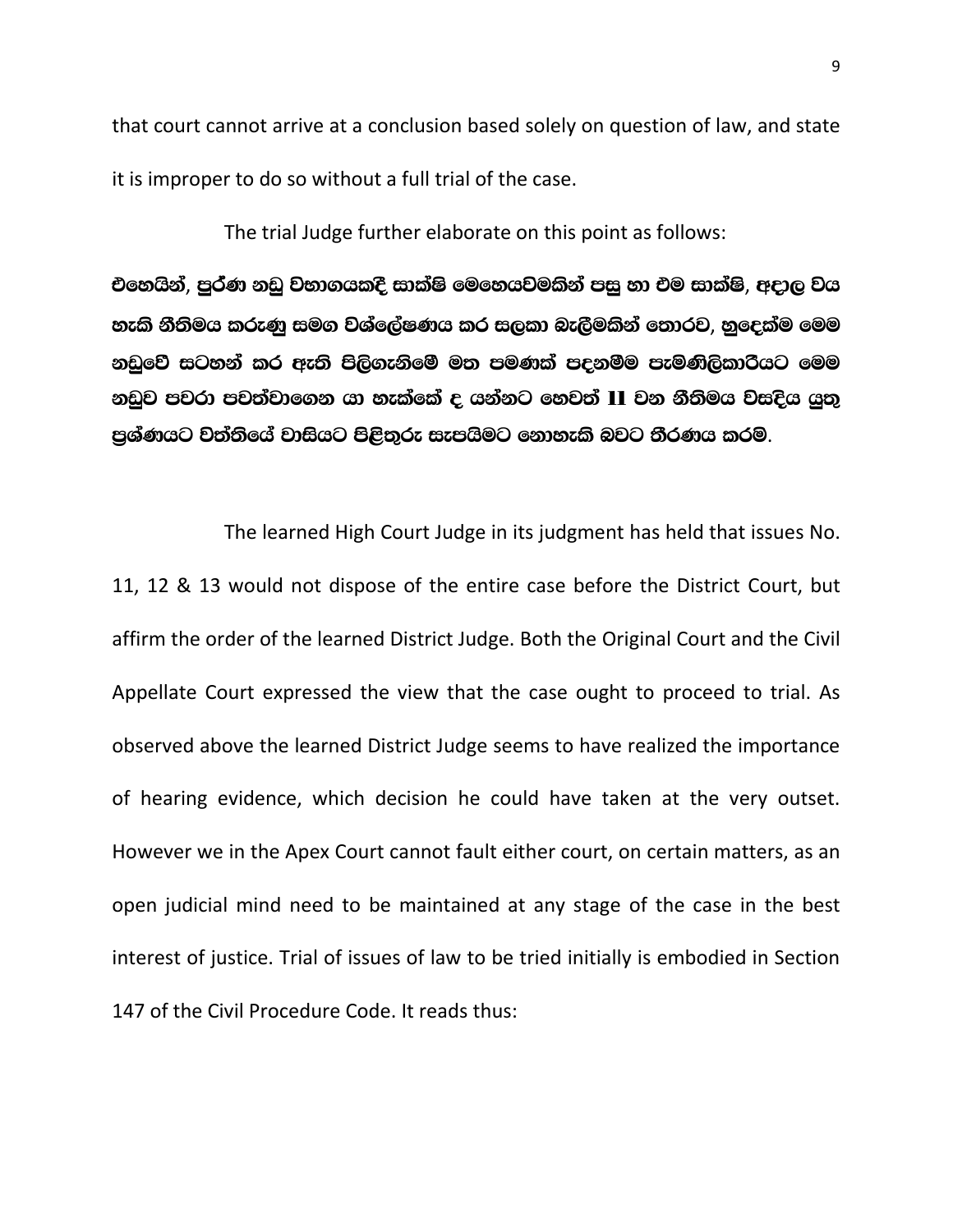that court cannot arrive at a conclusion based solely on question of law, and state it is improper to do so without a full trial of the case.

The trial Judge further elaborate on this point as follows:

එහෙයින්, පුර්ණ නඩු වහාගයකදී සාක්ෂි මෙහෙයවමකින් පසු හා එම සාක්ෂි, අදාල වය හැකි නීතිමය කරුණු සමග වශ්ලේෂණය කර සලකා බැලීමකින් තොරව, නුදෙක්ම මෙම නඩුවේ සටහන් කර ඇති පිලිගැනිමේ මත පමණක් පදනම්ම පැමණිලිකාරියට මෙම නඩුව පවරා පවත්වාගෙන යා හැක්කේ ද යන්නට හෙවත් 11 වන නීතිමය වසදිය යුතු පුශ්ණයට වත්තියේ වාසියට පිළිතුරු සැපයිමට නොහැකි බවට තීරණය කරම.

The learned High Court Judge in its judgment has held that issues No. 11, 12 & 13 would not dispose of the entire case before the District Court, but affirm the order of the learned District Judge. Both the Original Court and the Civil Appellate Court expressed the view that the case ought to proceed to trial. As observed above the learned District Judge seems to have realized the importance of hearing evidence, which decision he could have taken at the very outset. However we in the Apex Court cannot fault either court, on certain matters, as an open judicial mind need to be maintained at any stage of the case in the best interest of justice. Trial of issues of law to be tried initially is embodied in Section 147 of the Civil Procedure Code. It reads thus: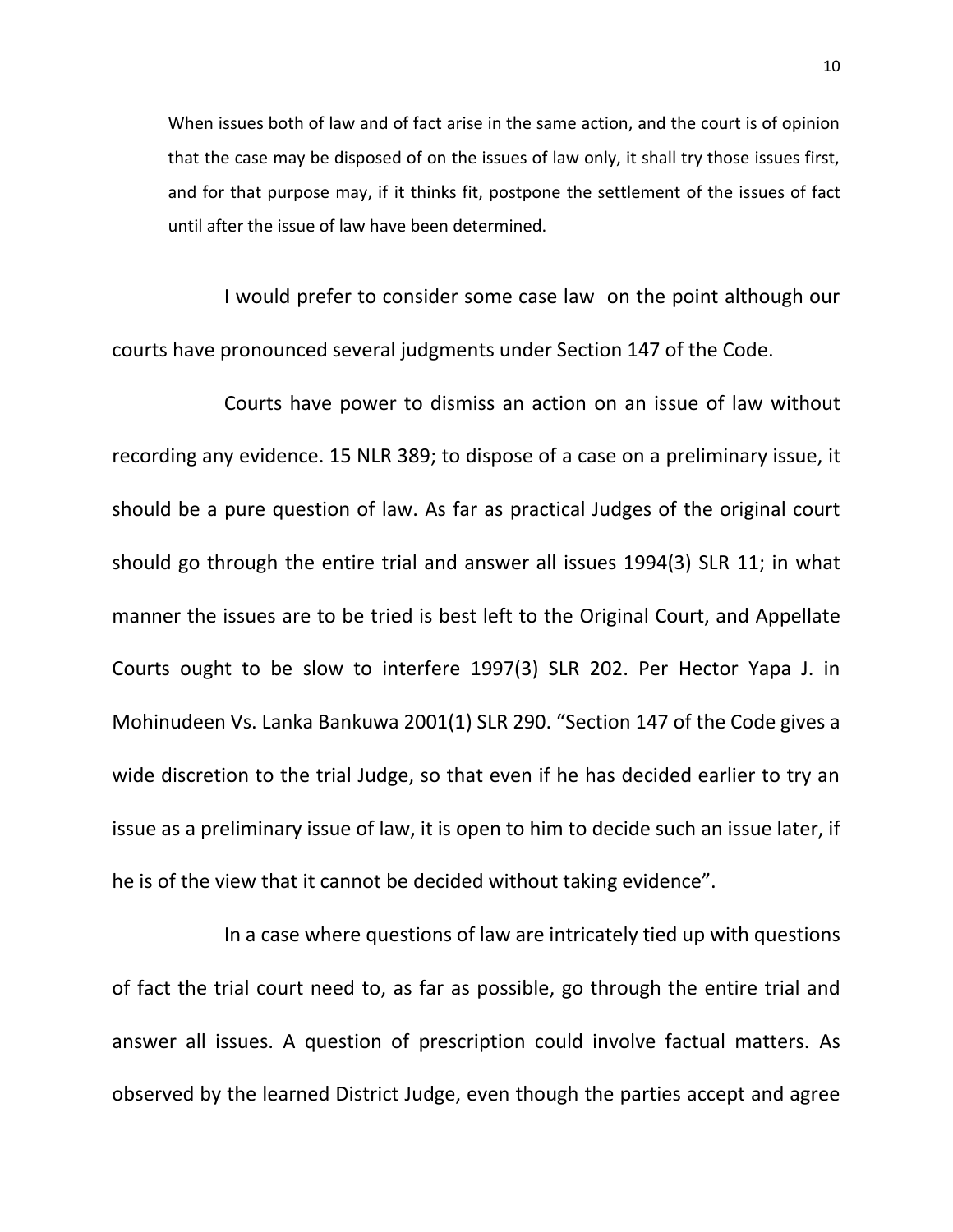When issues both of law and of fact arise in the same action, and the court is of opinion that the case may be disposed of on the issues of law only, it shall try those issues first, and for that purpose may, if it thinks fit, postpone the settlement of the issues of fact until after the issue of law have been determined.

I would prefer to consider some case law on the point although our courts have pronounced several judgments under Section 147 of the Code.

Courts have power to dismiss an action on an issue of law without recording any evidence. 15 NLR 389; to dispose of a case on a preliminary issue, it should be a pure question of law. As far as practical Judges of the original court should go through the entire trial and answer all issues 1994(3) SLR 11; in what manner the issues are to be tried is best left to the Original Court, and Appellate Courts ought to be slow to interfere 1997(3) SLR 202. Per Hector Yapa J. in Mohinudeen Vs. Lanka Bankuwa 2001(1) SLR 290. "Section 147 of the Code gives a wide discretion to the trial Judge, so that even if he has decided earlier to try an issue as a preliminary issue of law, it is open to him to decide such an issue later, if he is of the view that it cannot be decided without taking evidence".

In a case where questions of law are intricately tied up with questions of fact the trial court need to, as far as possible, go through the entire trial and answer all issues. A question of prescription could involve factual matters. As observed by the learned District Judge, even though the parties accept and agree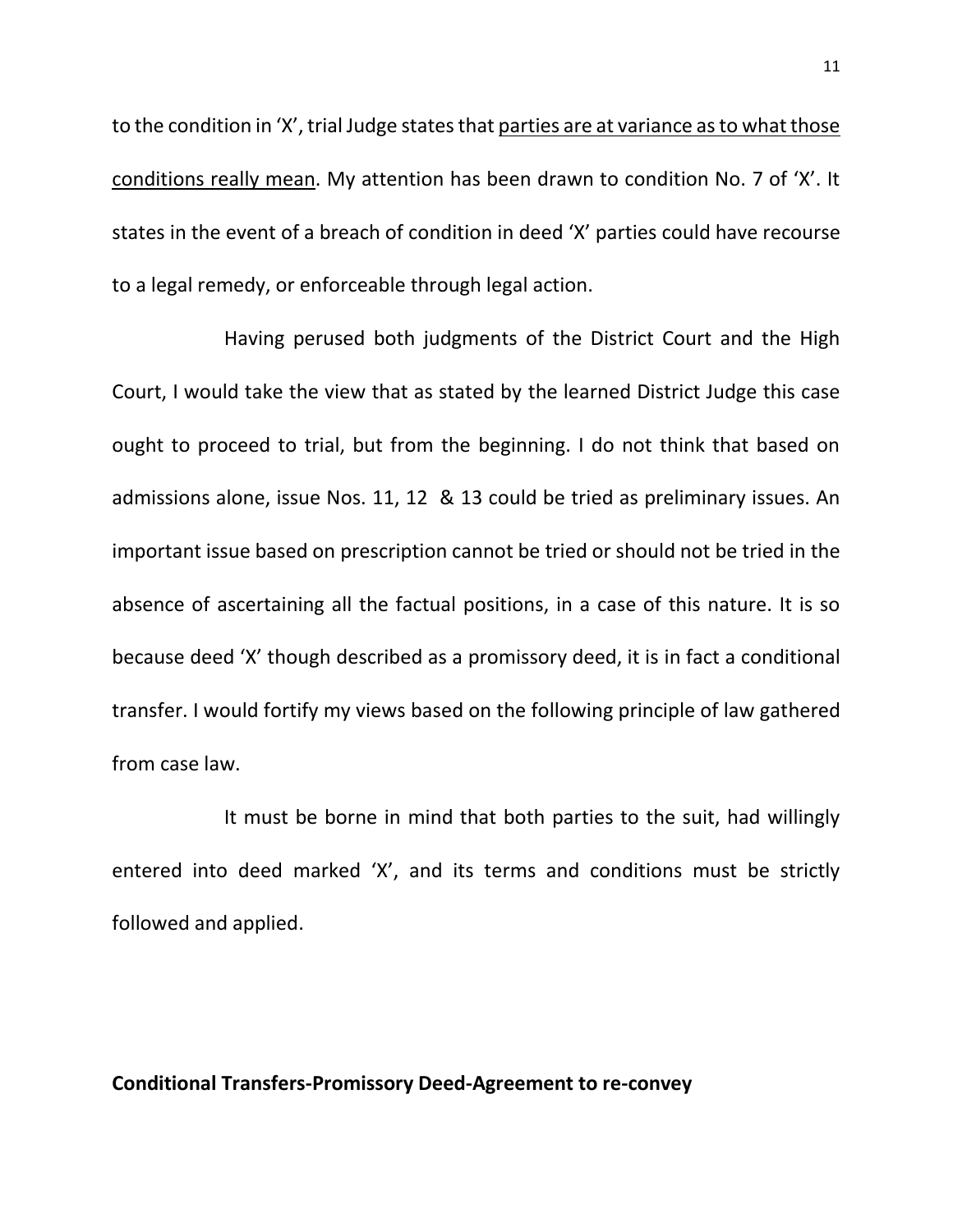to the condition in 'X', trial Judge states that parties are at variance as to what those conditions really mean. My attention has been drawn to condition No. 7 of 'X'. It states in the event of a breach of condition in deed 'X' parties could have recourse to a legal remedy, or enforceable through legal action.

Having perused both judgments of the District Court and the High Court, I would take the view that as stated by the learned District Judge this case ought to proceed to trial, but from the beginning. I do not think that based on admissions alone, issue Nos. 11, 12 & 13 could be tried as preliminary issues. An important issue based on prescription cannot be tried or should not be tried in the absence of ascertaining all the factual positions, in a case of this nature. It is so because deed 'X' though described as a promissory deed, it is in fact a conditional transfer. I would fortify my views based on the following principle of law gathered from case law.

It must be borne in mind that both parties to the suit, had willingly entered into deed marked 'X', and its terms and conditions must be strictly followed and applied.

## **Conditional Transfers-Promissory Deed-Agreement to re-convey**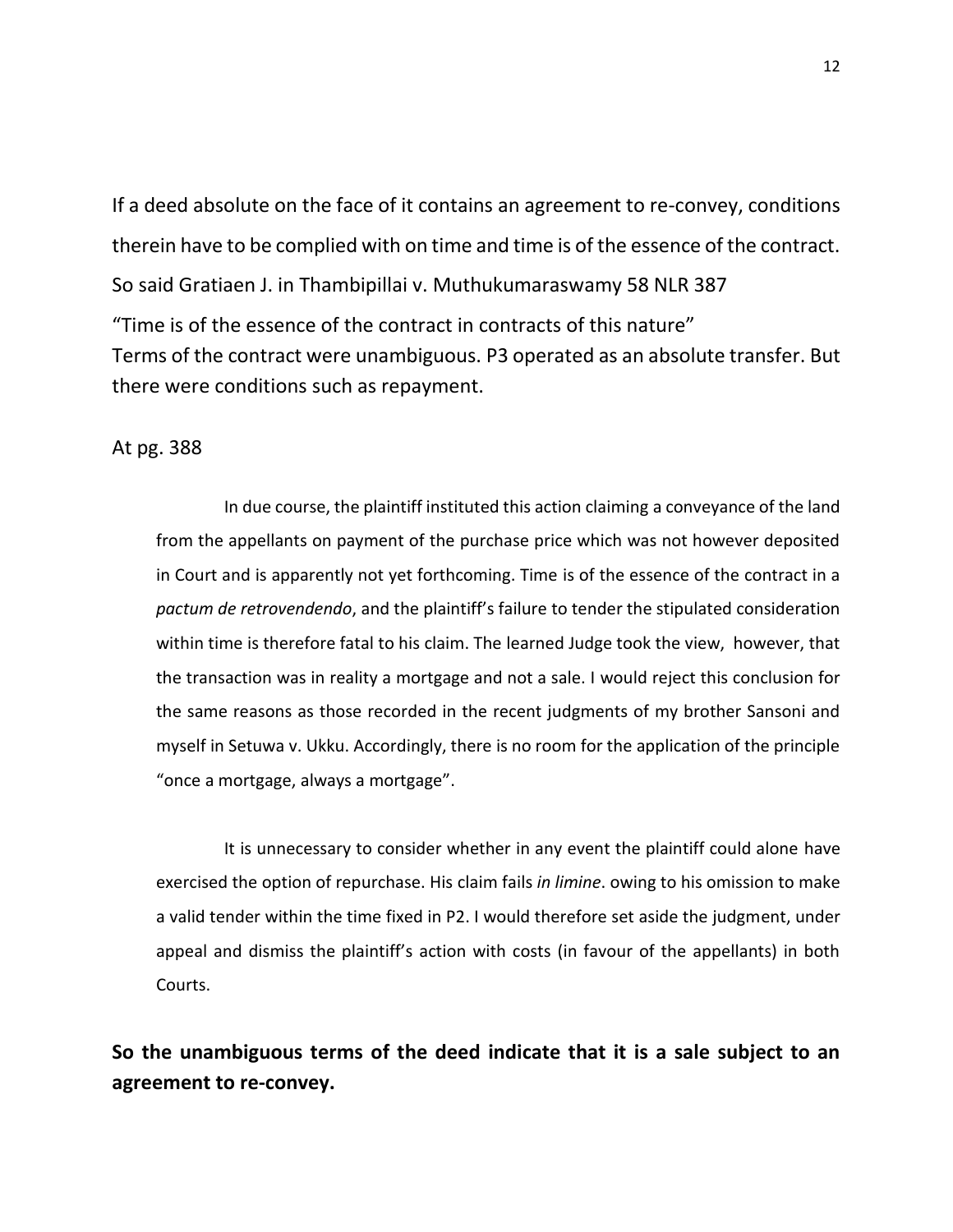If a deed absolute on the face of it contains an agreement to re-convey, conditions therein have to be complied with on time and time is of the essence of the contract. So said Gratiaen J. in Thambipillai v. Muthukumaraswamy 58 NLR 387

"Time is of the essence of the contract in contracts of this nature" Terms of the contract were unambiguous. P3 operated as an absolute transfer. But there were conditions such as repayment.

## At pg. 388

In due course, the plaintiff instituted this action claiming a conveyance of the land from the appellants on payment of the purchase price which was not however deposited in Court and is apparently not yet forthcoming. Time is of the essence of the contract in a *pactum de retrovendendo*, and the plaintiff's failure to tender the stipulated consideration within time is therefore fatal to his claim. The learned Judge took the view, however, that the transaction was in reality a mortgage and not a sale. I would reject this conclusion for the same reasons as those recorded in the recent judgments of my brother Sansoni and myself in Setuwa v. Ukku. Accordingly, there is no room for the application of the principle "once a mortgage, always a mortgage".

It is unnecessary to consider whether in any event the plaintiff could alone have exercised the option of repurchase. His claim fails *in limine*. owing to his omission to make a valid tender within the time fixed in P2. I would therefore set aside the judgment, under appeal and dismiss the plaintiff's action with costs (in favour of the appellants) in both Courts.

**So the unambiguous terms of the deed indicate that it is a sale subject to an agreement to re-convey.**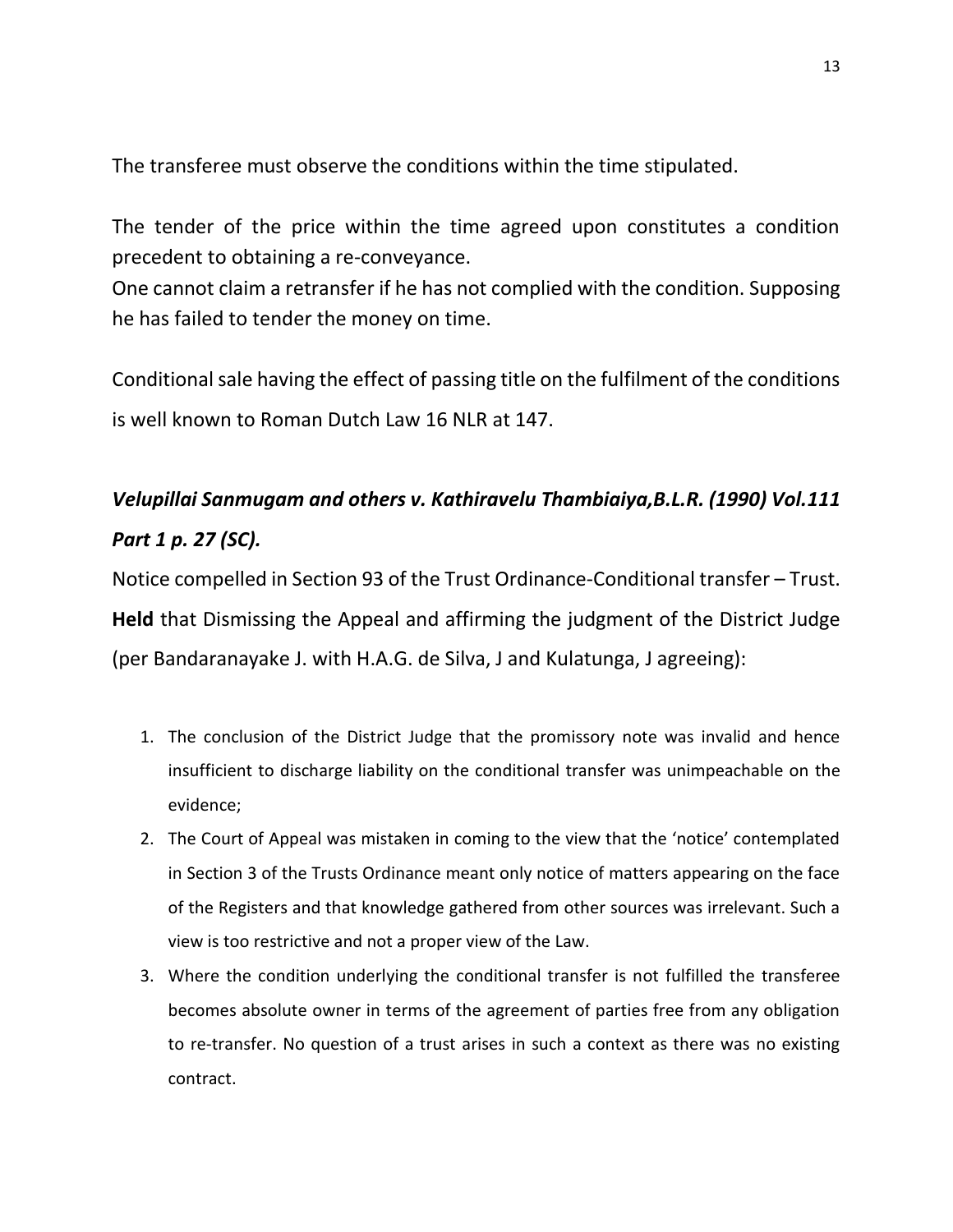The transferee must observe the conditions within the time stipulated.

The tender of the price within the time agreed upon constitutes a condition precedent to obtaining a re-conveyance.

One cannot claim a retransfer if he has not complied with the condition. Supposing he has failed to tender the money on time.

Conditional sale having the effect of passing title on the fulfilment of the conditions is well known to Roman Dutch Law 16 NLR at 147.

# *Velupillai Sanmugam and others v. Kathiravelu Thambiaiya,B.L.R. (1990) Vol.111 Part 1 p. 27 (SC).*

Notice compelled in Section 93 of the Trust Ordinance-Conditional transfer – Trust. **Held** that Dismissing the Appeal and affirming the judgment of the District Judge (per Bandaranayake J. with H.A.G. de Silva, J and Kulatunga, J agreeing):

- 1. The conclusion of the District Judge that the promissory note was invalid and hence insufficient to discharge liability on the conditional transfer was unimpeachable on the evidence;
- 2. The Court of Appeal was mistaken in coming to the view that the 'notice' contemplated in Section 3 of the Trusts Ordinance meant only notice of matters appearing on the face of the Registers and that knowledge gathered from other sources was irrelevant. Such a view is too restrictive and not a proper view of the Law.
- 3. Where the condition underlying the conditional transfer is not fulfilled the transferee becomes absolute owner in terms of the agreement of parties free from any obligation to re-transfer. No question of a trust arises in such a context as there was no existing contract.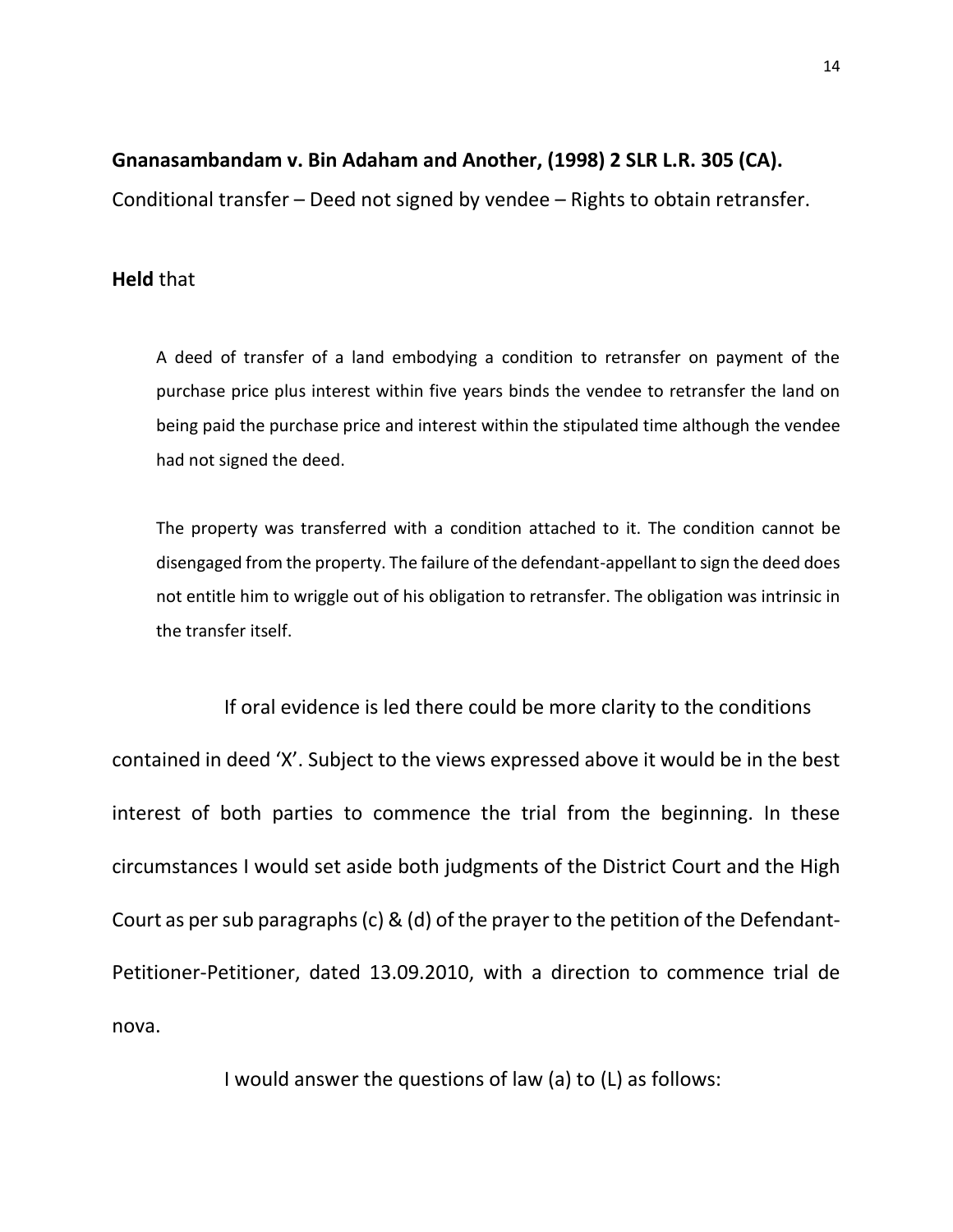## **Gnanasambandam v. Bin Adaham and Another, (1998) 2 SLR L.R. 305 (CA).**

Conditional transfer – Deed not signed by vendee – Rights to obtain retransfer.

## **Held** that

A deed of transfer of a land embodying a condition to retransfer on payment of the purchase price plus interest within five years binds the vendee to retransfer the land on being paid the purchase price and interest within the stipulated time although the vendee had not signed the deed.

The property was transferred with a condition attached to it. The condition cannot be disengaged from the property. The failure of the defendant-appellant to sign the deed does not entitle him to wriggle out of his obligation to retransfer. The obligation was intrinsic in the transfer itself.

If oral evidence is led there could be more clarity to the conditions contained in deed 'X'. Subject to the views expressed above it would be in the best interest of both parties to commence the trial from the beginning. In these circumstances I would set aside both judgments of the District Court and the High Court as per sub paragraphs (c) & (d) of the prayer to the petition of the Defendant-Petitioner-Petitioner, dated 13.09.2010, with a direction to commence trial de nova.

I would answer the questions of law (a) to (L) as follows: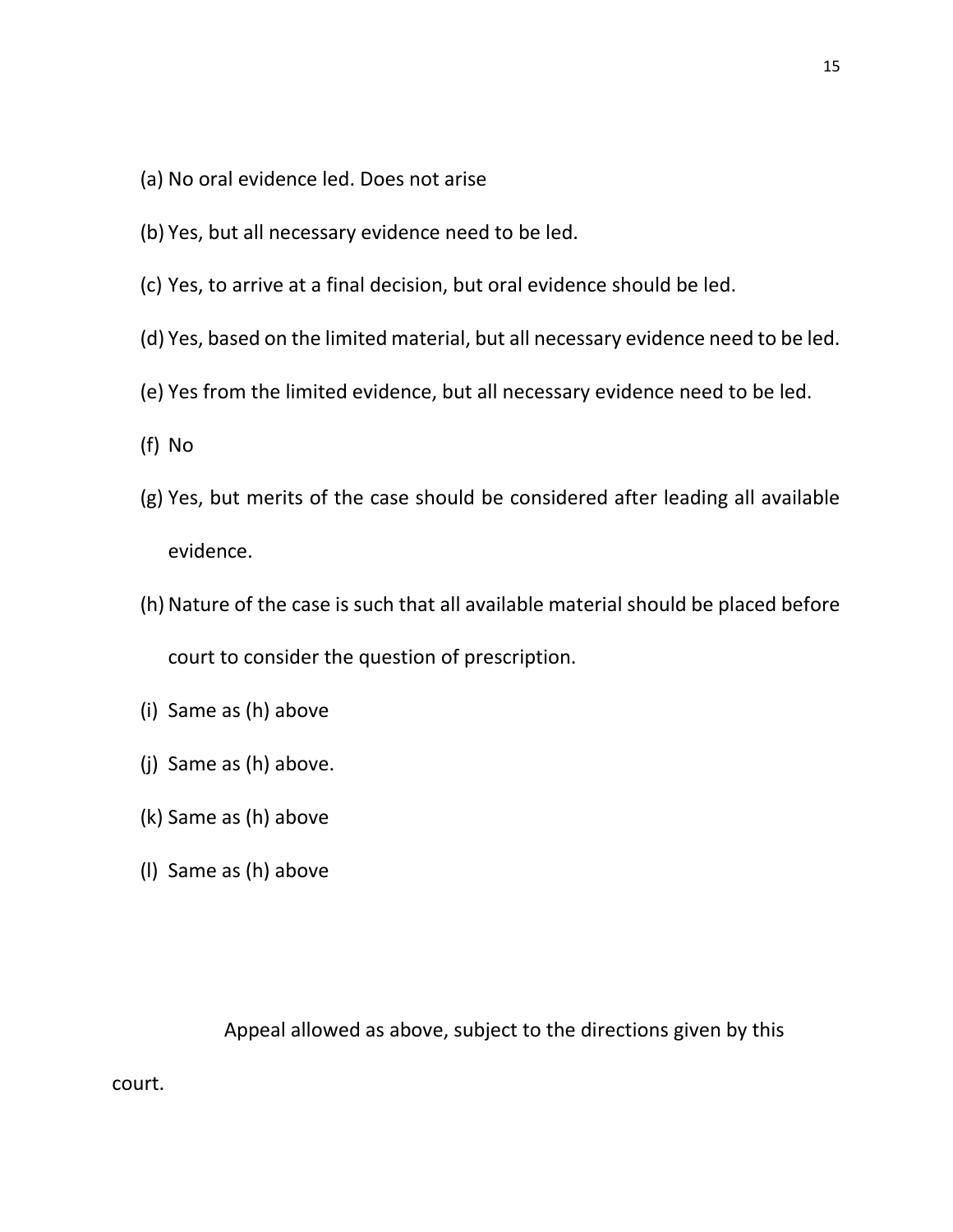- (a) No oral evidence led. Does not arise
- (b) Yes, but all necessary evidence need to be led.
- (c) Yes, to arrive at a final decision, but oral evidence should be led.
- (d) Yes, based on the limited material, but all necessary evidence need to be led.
- (e) Yes from the limited evidence, but all necessary evidence need to be led.
- (f) No
- (g) Yes, but merits of the case should be considered after leading all available evidence.
- (h) Nature of the case is such that all available material should be placed before court to consider the question of prescription.
- (i) Same as (h) above
- (j) Same as (h) above.
- (k) Same as (h) above
- (l) Same as (h) above

court.

Appeal allowed as above, subject to the directions given by this